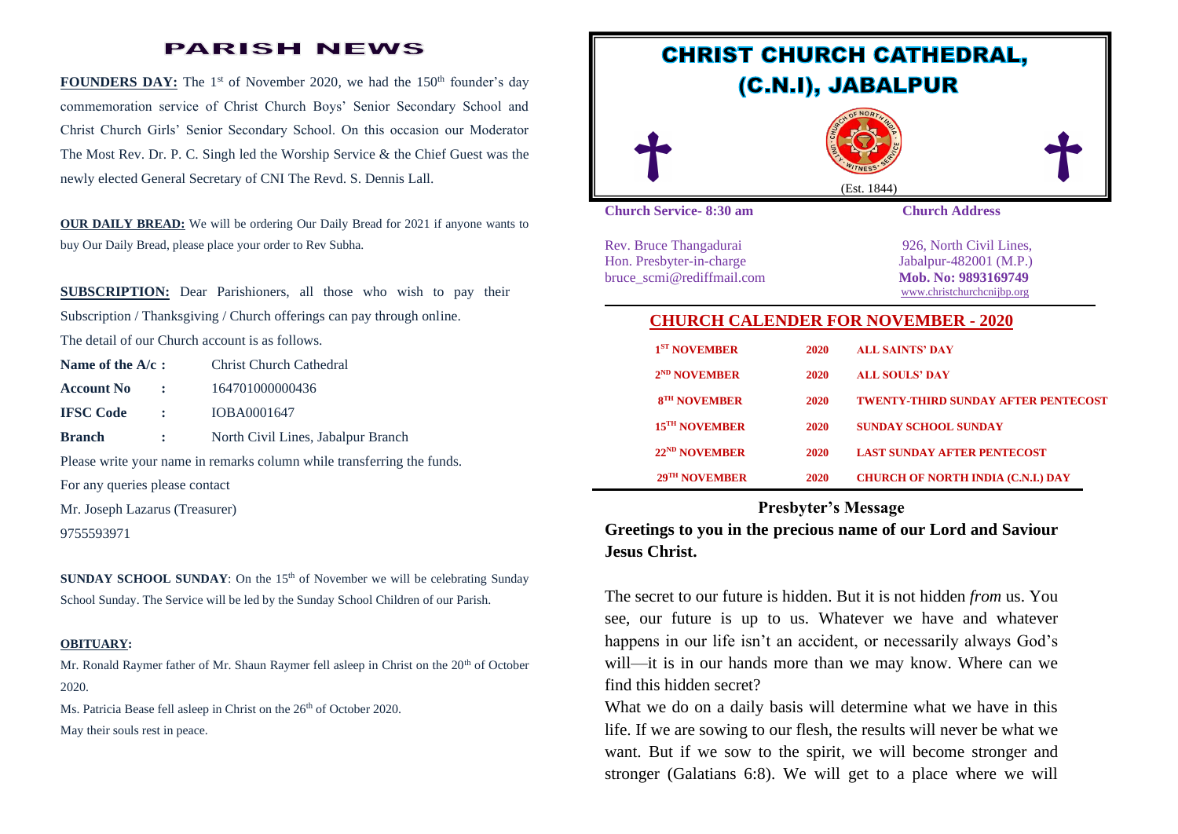## **PARISH NEWS**

**FOUNDERS DAY:** The 1<sup>st</sup> of November 2020, we had the 150<sup>th</sup> founder's day commemoration service of Christ Church Boys' Senior Secondary School and Christ Church Girls' Senior Secondary School. On this occasion our Moderator The Most Rev. Dr. P. C. Singh led the Worship Service & the Chief Guest was the newly elected General Secretary of CNI The Revd. S. Dennis Lall.

**OUR DAILY BREAD:** We will be ordering Our Daily Bread for 2021 if anyone wants to buy Our Daily Bread, please place your order to Rev Subha.

**SUBSCRIPTION:** Dear Parishioners, all those who wish to pay their Subscription / Thanksgiving / Church offerings can pay through online. The detail of our Church account is as follows.

| Name of the $A/c$ :                                                    |                          | <b>Christ Church Cathedral</b>     |
|------------------------------------------------------------------------|--------------------------|------------------------------------|
| <b>Account No</b>                                                      | $\sim 10^{-10}$          | 164701000000436                    |
| <b>IFSC Code</b>                                                       | $\sim 10^{-11}$          | IOBA0001647                        |
| <b>Branch</b>                                                          | <b>Contract Contract</b> | North Civil Lines, Jabalpur Branch |
| Please write your name in remarks column while transferring the funds. |                          |                                    |
| For any queries please contact                                         |                          |                                    |

Mr. Joseph Lazarus (Treasurer)

9755593971

**SUNDAY SCHOOL SUNDAY**: On the 15<sup>th</sup> of November we will be celebrating Sunday School Sunday. The Service will be led by the Sunday School Children of our Parish.

#### **OBITUARY:**

Mr. Ronald Raymer father of Mr. Shaun Raymer fell asleep in Christ on the 20<sup>th</sup> of October 2020.

Ms. Patricia Bease fell asleep in Christ on the 26<sup>th</sup> of October 2020. May their souls rest in peace.



#### **Presbyter's Message**

**Greetings to you in the precious name of our Lord and Saviour Jesus Christ.**

The secret to our future is hidden. But it is not hidden *from* us. You see, our future is up to us. Whatever we have and whatever happens in our life isn't an accident, or necessarily always God's will—it is in our hands more than we may know. Where can we find this hidden secret?

What we do on a daily basis will determine what we have in this life. If we are sowing to our flesh, the results will never be what we want. But if we sow to the spirit, we will become stronger and stronger [\(Galatians 6:8\)](https://www.biblegateway.com/passage/?search=Galatians%206:8). We will get to a place where we will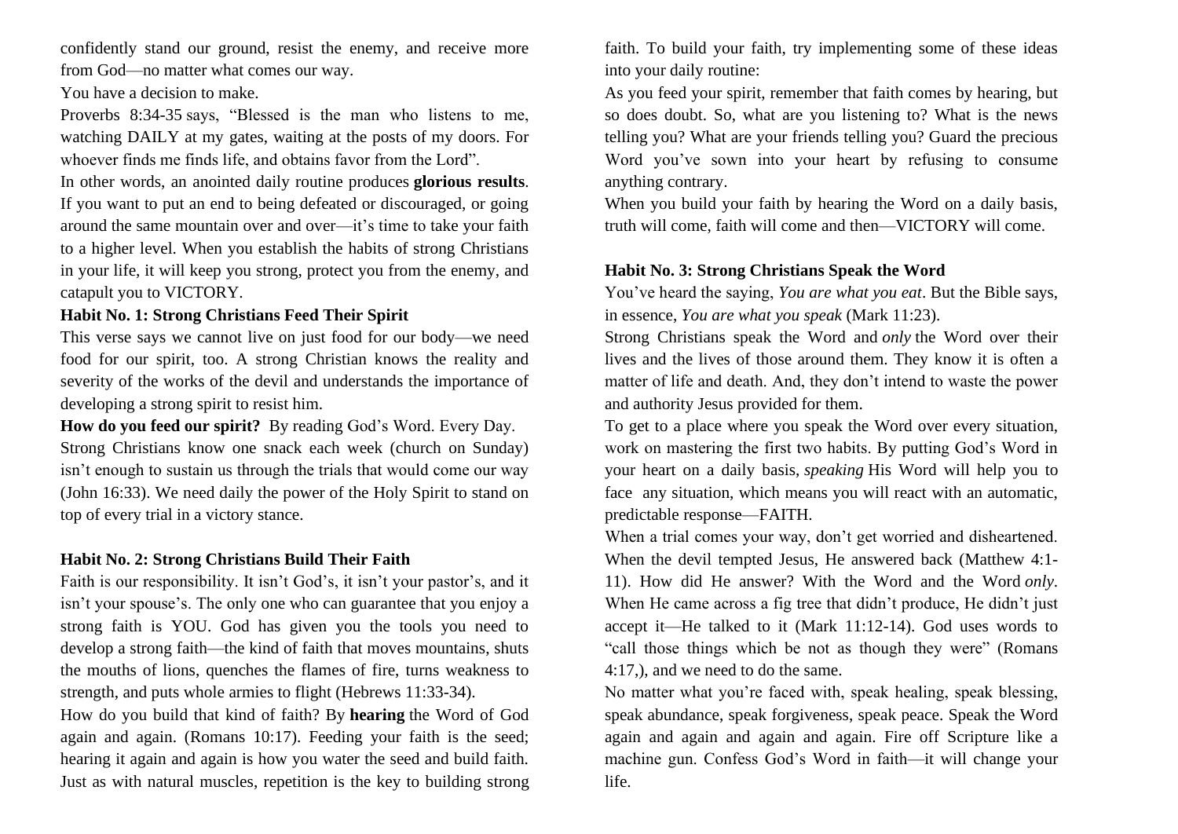confidently stand our ground, resist the enemy, and receive more from God—no matter what comes our way.

#### You have a decision to make.

[Proverbs 8:34-35](https://biblia.com/bible/nkjv/Prov%208.34-35) says, "Blessed is the man who listens to me, watching DAILY at my gates, waiting at the posts of my doors. For whoever finds me finds life, and obtains favor from the Lord".

In other words, an anointed daily routine produces **glorious results**. If you want to put an end to being defeated or discouraged, or going around the same mountain over and over—it's time to take your faith to a higher level. When you establish the habits of strong Christians in your life, it will keep you strong, protect you from the enemy, and catapult you to VICTORY.

### **Habit No. 1: Strong Christians Feed Their Spirit**

This verse says we cannot live on just food for our body—we need food for our spirit, too. A strong Christian knows the reality and severity of the works of the devil and understands the importance of developing a strong spirit to resist him.

**How do you feed our spirit?** By reading God's Word. Every Day. Strong Christians know one snack each week (church on Sunday) isn't enough to sustain us through the trials that would come our way [\(John 16:33\)](https://www.biblegateway.com/passage/?search=John+16%3A33). We need daily the power of the Holy Spirit to stand on top of every trial in a victory stance.

## **Habit No. 2: Strong Christians Build Their Faith**

Faith is our responsibility. It isn't God's, it isn't your pastor's, and it isn't your spouse's. The only one who can guarantee that you enjoy a strong faith is YOU. God has given you the tools you need to develop a strong faith—the kind of faith that moves mountains, shuts the mouths of lions, quenches the flames of fire, turns weakness to strength, and puts whole armies to flight [\(Hebrews 11:33-34\)](https://www.biblegateway.com/passage/?search=Hebrews+11%3A33-35&version=NLT).

How do you build that kind of faith? By **hearing** the Word of God again and again. [\(Romans 10:17\)](https://www.biblegateway.com/passage/?search=Romans+10%3A17&version=NKJV). Feeding your faith is the seed; hearing it again and again is how you water the seed and build faith. Just as with natural muscles, repetition is the key to building strong faith. To build your faith, try implementing some of these ideas into your daily routine:

As you feed your spirit, remember that faith comes by hearing, but so does doubt. So, what are you listening to? What is the news telling you? What are your friends telling you? Guard the precious Word you've sown into your heart by refusing to consume anything contrary.

When you build your faith by hearing the Word on a daily basis, truth will come, faith will come and then—VICTORY will come.

## **Habit No. 3: Strong Christians Speak the Word**

You've heard the saying, *You are what you eat*. But the Bible says, in essence, *You are what you speak* [\(Mark 11:23\)](https://www.biblegateway.com/passage/?search=Mark+11%3A23&version=NKJV).

Strong Christians speak the Word and *only* the Word over their lives and the lives of those around them. They know it is often a matter of life and death. And, they don't intend to waste the power and authority Jesus provided for them.

To get to a place where you speak the Word over every situation, work on mastering the first two habits. By putting God's Word in your heart on a daily basis, *speaking* His Word will help you to face any situation, which means you will react with an automatic, predictable response—FAITH.

When a trial comes your way, don't get worried and disheartened. When the devil tempted Jesus, He answered back [\(Matthew 4:1-](https://www.biblegateway.com/passage/?search=Matthew+4%3A1-11) [11\)](https://www.biblegateway.com/passage/?search=Matthew+4%3A1-11). How did He answer? With the Word and the Word *only*. When He came across a fig tree that didn't produce, He didn't just accept it—He talked to it [\(Mark 11:12-14\)](https://www.biblegateway.com/passage/?search=Mark+11%3A12-14&version=NLT). God uses words to "call those things which be not as though they were" [\(Romans](https://biblia.com/bible/nkjv/Rom%204.17)  [4:17,](https://biblia.com/bible/nkjv/Rom%204.17)), and we need to do the same.

No matter what you're faced with, speak healing, speak blessing, speak abundance, speak forgiveness, speak peace. Speak the Word again and again and again and again. Fire off Scripture like a machine gun. Confess God's Word in faith—it will change your life.